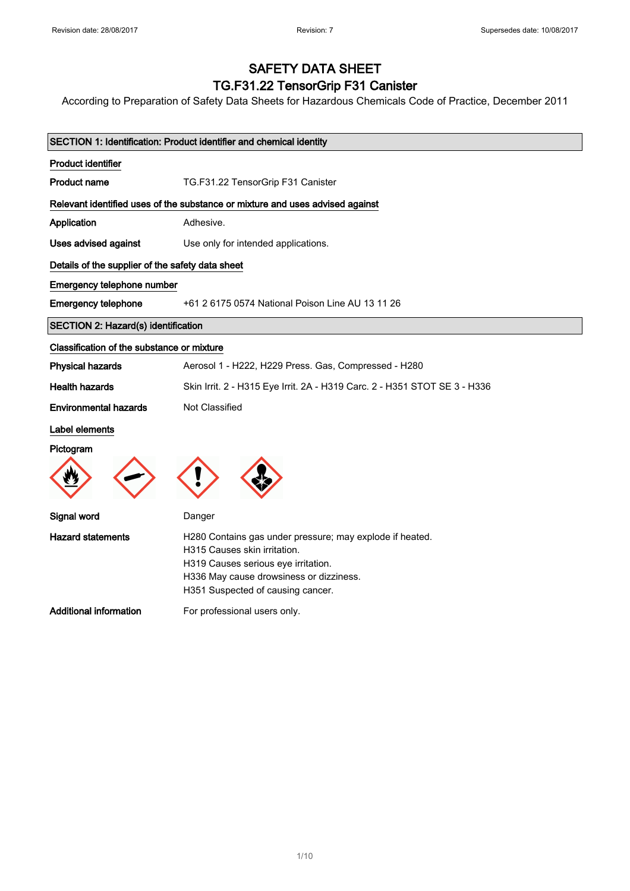# SAFETY DATA SHEET

### TG.F31.22 TensorGrip F31 Canister

According to Preparation of Safety Data Sheets for Hazardous Chemicals Code of Practice, December 2011

| SECTION 1: Identification: Product identifier and chemical identity |                                                                                |  |
|---------------------------------------------------------------------|--------------------------------------------------------------------------------|--|
| <b>Product identifier</b>                                           |                                                                                |  |
| <b>Product name</b>                                                 | TG.F31.22 TensorGrip F31 Canister                                              |  |
|                                                                     | Relevant identified uses of the substance or mixture and uses advised against  |  |
| Application                                                         | Adhesive.                                                                      |  |
| Uses advised against                                                | Use only for intended applications.                                            |  |
| Details of the supplier of the safety data sheet                    |                                                                                |  |
| Emergency telephone number                                          |                                                                                |  |
| <b>Emergency telephone</b>                                          | +61 2 6175 0574 National Poison Line AU 13 11 26                               |  |
| <b>SECTION 2: Hazard(s) identification</b>                          |                                                                                |  |
| Classification of the substance or mixture                          |                                                                                |  |
| <b>Physical hazards</b>                                             | Aerosol 1 - H222, H229 Press. Gas, Compressed - H280                           |  |
| <b>Health hazards</b>                                               | Skin Irrit. 2 - H315 Eye Irrit. 2A - H319 Carc. 2 - H351 STOT SE 3 - H336      |  |
| <b>Environmental hazards</b>                                        | Not Classified                                                                 |  |
| Label elements                                                      |                                                                                |  |
| Pictogram                                                           |                                                                                |  |
|                                                                     |                                                                                |  |
|                                                                     |                                                                                |  |
| Signal word                                                         | Danger                                                                         |  |
| <b>Hazard statements</b>                                            | H280 Contains gas under pressure; may explode if heated.                       |  |
|                                                                     | H315 Causes skin irritation.                                                   |  |
|                                                                     | H319 Causes serious eye irritation.<br>H336 May cause drowsiness or dizziness. |  |
|                                                                     | H351 Suspected of causing cancer.                                              |  |
| <b>Additional information</b>                                       | For professional users only.                                                   |  |
|                                                                     |                                                                                |  |
|                                                                     |                                                                                |  |
|                                                                     |                                                                                |  |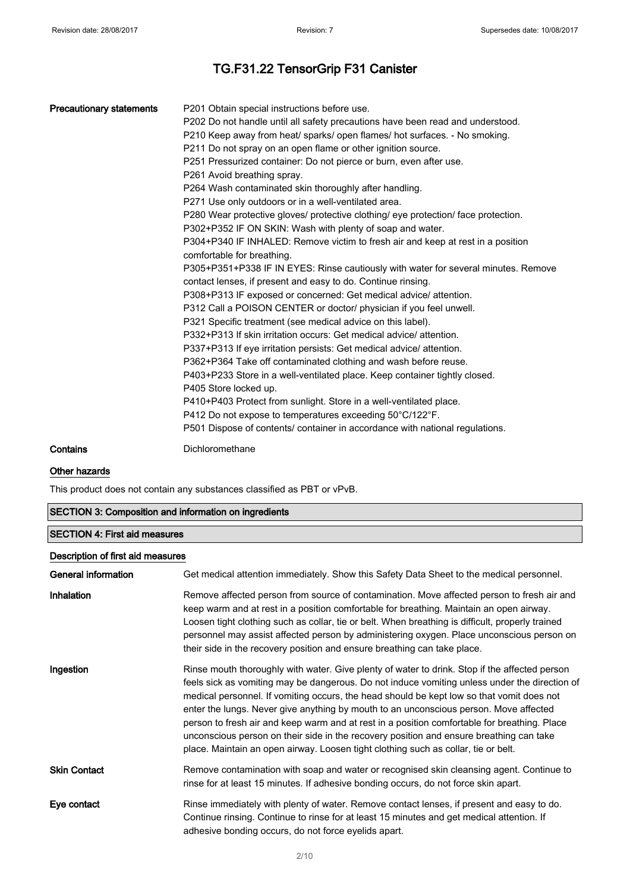| <b>Precautionary statements</b> | P201 Obtain special instructions before use.<br>P202 Do not handle until all safety precautions have been read and understood.<br>P210 Keep away from heat/ sparks/ open flames/ hot surfaces. - No smoking.<br>P211 Do not spray on an open flame or other ignition source. |
|---------------------------------|------------------------------------------------------------------------------------------------------------------------------------------------------------------------------------------------------------------------------------------------------------------------------|
|                                 | P251 Pressurized container: Do not pierce or burn, even after use.                                                                                                                                                                                                           |
|                                 | P261 Avoid breathing spray.                                                                                                                                                                                                                                                  |
|                                 | P264 Wash contaminated skin thoroughly after handling.                                                                                                                                                                                                                       |
|                                 | P271 Use only outdoors or in a well-ventilated area.                                                                                                                                                                                                                         |
|                                 | P280 Wear protective gloves/ protective clothing/ eye protection/ face protection.                                                                                                                                                                                           |
|                                 | P302+P352 IF ON SKIN: Wash with plenty of soap and water.                                                                                                                                                                                                                    |
|                                 | P304+P340 IF INHALED: Remove victim to fresh air and keep at rest in a position<br>comfortable for breathing.                                                                                                                                                                |
|                                 | P305+P351+P338 IF IN EYES: Rinse cautiously with water for several minutes. Remove                                                                                                                                                                                           |
|                                 | contact lenses, if present and easy to do. Continue rinsing.                                                                                                                                                                                                                 |
|                                 | P308+P313 IF exposed or concerned: Get medical advice/attention.                                                                                                                                                                                                             |
|                                 | P312 Call a POISON CENTER or doctor/ physician if you feel unwell.                                                                                                                                                                                                           |
|                                 | P321 Specific treatment (see medical advice on this label).                                                                                                                                                                                                                  |
|                                 | P332+P313 If skin irritation occurs: Get medical advice/attention.                                                                                                                                                                                                           |
|                                 | P337+P313 If eye irritation persists: Get medical advice/attention.                                                                                                                                                                                                          |
|                                 | P362+P364 Take off contaminated clothing and wash before reuse.                                                                                                                                                                                                              |
|                                 | P403+P233 Store in a well-ventilated place. Keep container tightly closed.                                                                                                                                                                                                   |
|                                 | P405 Store locked up.                                                                                                                                                                                                                                                        |
|                                 | P410+P403 Protect from sunlight. Store in a well-ventilated place.                                                                                                                                                                                                           |
|                                 | P412 Do not expose to temperatures exceeding 50°C/122°F.                                                                                                                                                                                                                     |
|                                 | P501 Dispose of contents/ container in accordance with national regulations.                                                                                                                                                                                                 |
| Contains                        | Dichloromethane                                                                                                                                                                                                                                                              |

#### Other hazards

This product does not contain any substances classified as PBT or vPvB.

| <b>SECTION 3: Composition and information on ingredients</b> |                                                                                                                                                                                                                                                                                                                                                                                                                                                                                                                                                                                                                                                                       |  |  |
|--------------------------------------------------------------|-----------------------------------------------------------------------------------------------------------------------------------------------------------------------------------------------------------------------------------------------------------------------------------------------------------------------------------------------------------------------------------------------------------------------------------------------------------------------------------------------------------------------------------------------------------------------------------------------------------------------------------------------------------------------|--|--|
| <b>SECTION 4: First aid measures</b>                         |                                                                                                                                                                                                                                                                                                                                                                                                                                                                                                                                                                                                                                                                       |  |  |
|                                                              | Description of first aid measures                                                                                                                                                                                                                                                                                                                                                                                                                                                                                                                                                                                                                                     |  |  |
| General information                                          | Get medical attention immediately. Show this Safety Data Sheet to the medical personnel.                                                                                                                                                                                                                                                                                                                                                                                                                                                                                                                                                                              |  |  |
| Inhalation                                                   | Remove affected person from source of contamination. Move affected person to fresh air and<br>keep warm and at rest in a position comfortable for breathing. Maintain an open airway.<br>Loosen tight clothing such as collar, tie or belt. When breathing is difficult, properly trained<br>personnel may assist affected person by administering oxygen. Place unconscious person on<br>their side in the recovery position and ensure breathing can take place.                                                                                                                                                                                                    |  |  |
| Ingestion                                                    | Rinse mouth thoroughly with water. Give plenty of water to drink. Stop if the affected person<br>feels sick as vomiting may be dangerous. Do not induce vomiting unless under the direction of<br>medical personnel. If vomiting occurs, the head should be kept low so that vomit does not<br>enter the lungs. Never give anything by mouth to an unconscious person. Move affected<br>person to fresh air and keep warm and at rest in a position comfortable for breathing. Place<br>unconscious person on their side in the recovery position and ensure breathing can take<br>place. Maintain an open airway. Loosen tight clothing such as collar, tie or belt. |  |  |

Skin Contact Remove contamination with soap and water or recognised skin cleansing agent. Continue to rinse for at least 15 minutes. If adhesive bonding occurs, do not force skin apart.

Eye contact Rinse immediately with plenty of water. Remove contact lenses, if present and easy to do. Continue rinsing. Continue to rinse for at least 15 minutes and get medical attention. If adhesive bonding occurs, do not force eyelids apart.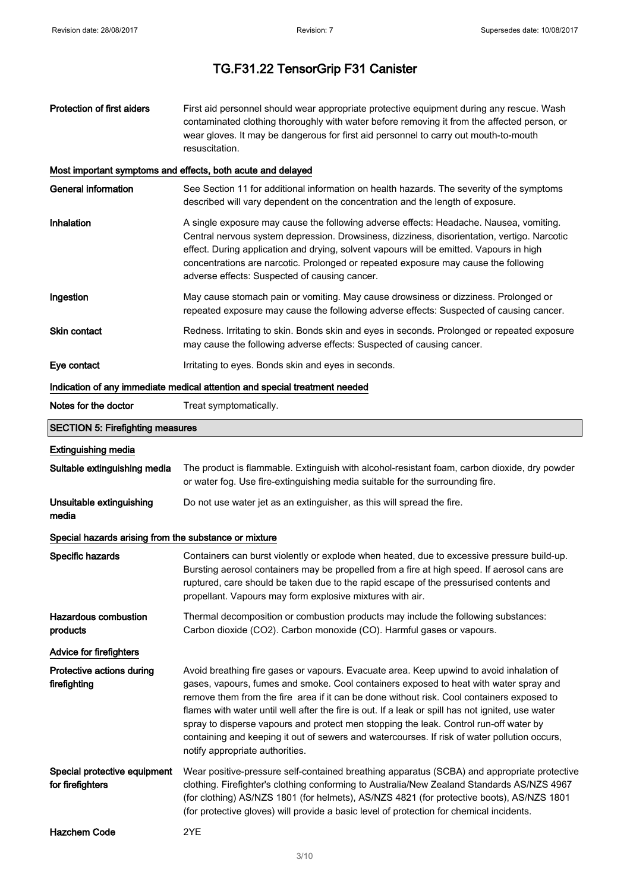| <b>Protection of first aiders</b>                     | First aid personnel should wear appropriate protective equipment during any rescue. Wash<br>contaminated clothing thoroughly with water before removing it from the affected person, or<br>wear gloves. It may be dangerous for first aid personnel to carry out mouth-to-mouth<br>resuscitation.                                                                                                                                                                                                                                                                                                               |
|-------------------------------------------------------|-----------------------------------------------------------------------------------------------------------------------------------------------------------------------------------------------------------------------------------------------------------------------------------------------------------------------------------------------------------------------------------------------------------------------------------------------------------------------------------------------------------------------------------------------------------------------------------------------------------------|
|                                                       | Most important symptoms and effects, both acute and delayed                                                                                                                                                                                                                                                                                                                                                                                                                                                                                                                                                     |
| <b>General information</b>                            | See Section 11 for additional information on health hazards. The severity of the symptoms<br>described will vary dependent on the concentration and the length of exposure.                                                                                                                                                                                                                                                                                                                                                                                                                                     |
| Inhalation                                            | A single exposure may cause the following adverse effects: Headache. Nausea, vomiting.<br>Central nervous system depression. Drowsiness, dizziness, disorientation, vertigo. Narcotic<br>effect. During application and drying, solvent vapours will be emitted. Vapours in high<br>concentrations are narcotic. Prolonged or repeated exposure may cause the following<br>adverse effects: Suspected of causing cancer.                                                                                                                                                                                        |
| Ingestion                                             | May cause stomach pain or vomiting. May cause drowsiness or dizziness. Prolonged or<br>repeated exposure may cause the following adverse effects: Suspected of causing cancer.                                                                                                                                                                                                                                                                                                                                                                                                                                  |
| Skin contact                                          | Redness. Irritating to skin. Bonds skin and eyes in seconds. Prolonged or repeated exposure<br>may cause the following adverse effects: Suspected of causing cancer.                                                                                                                                                                                                                                                                                                                                                                                                                                            |
| Eye contact                                           | Irritating to eyes. Bonds skin and eyes in seconds.                                                                                                                                                                                                                                                                                                                                                                                                                                                                                                                                                             |
|                                                       | Indication of any immediate medical attention and special treatment needed                                                                                                                                                                                                                                                                                                                                                                                                                                                                                                                                      |
| Notes for the doctor                                  | Treat symptomatically.                                                                                                                                                                                                                                                                                                                                                                                                                                                                                                                                                                                          |
| <b>SECTION 5: Firefighting measures</b>               |                                                                                                                                                                                                                                                                                                                                                                                                                                                                                                                                                                                                                 |
| <b>Extinguishing media</b>                            |                                                                                                                                                                                                                                                                                                                                                                                                                                                                                                                                                                                                                 |
| Suitable extinguishing media                          | The product is flammable. Extinguish with alcohol-resistant foam, carbon dioxide, dry powder<br>or water fog. Use fire-extinguishing media suitable for the surrounding fire.                                                                                                                                                                                                                                                                                                                                                                                                                                   |
| Unsuitable extinguishing<br>media                     | Do not use water jet as an extinguisher, as this will spread the fire.                                                                                                                                                                                                                                                                                                                                                                                                                                                                                                                                          |
| Special hazards arising from the substance or mixture |                                                                                                                                                                                                                                                                                                                                                                                                                                                                                                                                                                                                                 |
| Specific hazards                                      | Containers can burst violently or explode when heated, due to excessive pressure build-up.<br>Bursting aerosol containers may be propelled from a fire at high speed. If aerosol cans are<br>ruptured, care should be taken due to the rapid escape of the pressurised contents and<br>propellant. Vapours may form explosive mixtures with air.                                                                                                                                                                                                                                                                |
| <b>Hazardous combustion</b><br>products               | Thermal decomposition or combustion products may include the following substances:<br>Carbon dioxide (CO2). Carbon monoxide (CO). Harmful gases or vapours.                                                                                                                                                                                                                                                                                                                                                                                                                                                     |
| <b>Advice for firefighters</b>                        |                                                                                                                                                                                                                                                                                                                                                                                                                                                                                                                                                                                                                 |
| Protective actions during<br>firefighting             | Avoid breathing fire gases or vapours. Evacuate area. Keep upwind to avoid inhalation of<br>gases, vapours, fumes and smoke. Cool containers exposed to heat with water spray and<br>remove them from the fire area if it can be done without risk. Cool containers exposed to<br>flames with water until well after the fire is out. If a leak or spill has not ignited, use water<br>spray to disperse vapours and protect men stopping the leak. Control run-off water by<br>containing and keeping it out of sewers and watercourses. If risk of water pollution occurs,<br>notify appropriate authorities. |
| Special protective equipment<br>for firefighters      | Wear positive-pressure self-contained breathing apparatus (SCBA) and appropriate protective<br>clothing. Firefighter's clothing conforming to Australia/New Zealand Standards AS/NZS 4967<br>(for clothing) AS/NZS 1801 (for helmets), AS/NZS 4821 (for protective boots), AS/NZS 1801<br>(for protective gloves) will provide a basic level of protection for chemical incidents.                                                                                                                                                                                                                              |
| <b>Hazchem Code</b>                                   | 2YE                                                                                                                                                                                                                                                                                                                                                                                                                                                                                                                                                                                                             |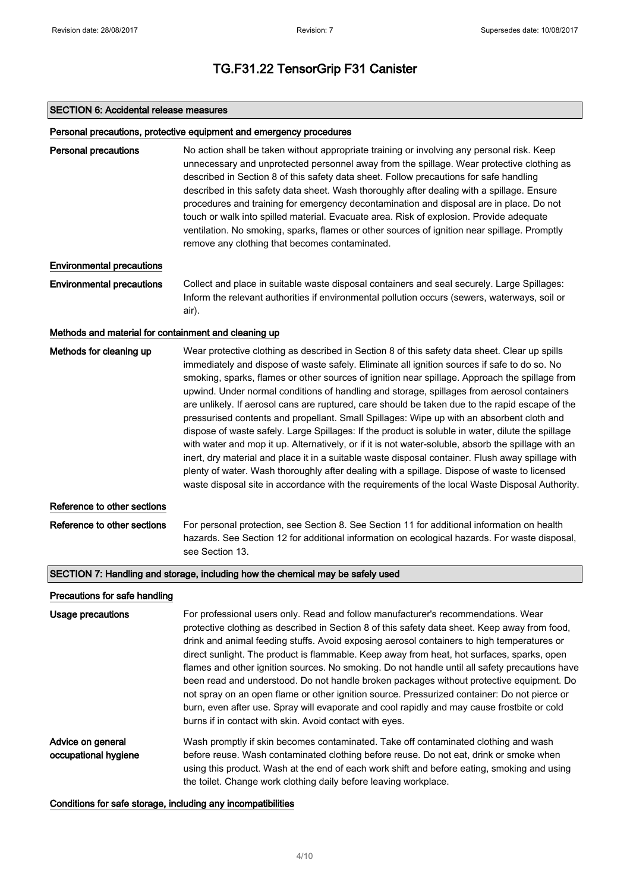#### SECTION 6: Accidental release measures

#### Personal precautions, protective equipment and emergency procedures

Personal precautions No action shall be taken without appropriate training or involving any personal risk. Keep unnecessary and unprotected personnel away from the spillage. Wear protective clothing as described in Section 8 of this safety data sheet. Follow precautions for safe handling described in this safety data sheet. Wash thoroughly after dealing with a spillage. Ensure procedures and training for emergency decontamination and disposal are in place. Do not touch or walk into spilled material. Evacuate area. Risk of explosion. Provide adequate ventilation. No smoking, sparks, flames or other sources of ignition near spillage. Promptly remove any clothing that becomes contaminated.

#### Environmental precautions

Environmental precautions Collect and place in suitable waste disposal containers and seal securely. Large Spillages: Inform the relevant authorities if environmental pollution occurs (sewers, waterways, soil or air).

#### Methods and material for containment and cleaning up

| Methods for cleaning up       | Wear protective clothing as described in Section 8 of this safety data sheet. Clear up spills<br>immediately and dispose of waste safely. Eliminate all ignition sources if safe to do so. No<br>smoking, sparks, flames or other sources of ignition near spillage. Approach the spillage from<br>upwind. Under normal conditions of handling and storage, spillages from aerosol containers<br>are unlikely. If aerosol cans are ruptured, care should be taken due to the rapid escape of the<br>pressurised contents and propellant. Small Spillages: Wipe up with an absorbent cloth and<br>dispose of waste safely. Large Spillages: If the product is soluble in water, dilute the spillage<br>with water and mop it up. Alternatively, or if it is not water-soluble, absorb the spillage with an<br>inert, dry material and place it in a suitable waste disposal container. Flush away spillage with<br>plenty of water. Wash thoroughly after dealing with a spillage. Dispose of waste to licensed<br>waste disposal site in accordance with the requirements of the local Waste Disposal Authority. |
|-------------------------------|------------------------------------------------------------------------------------------------------------------------------------------------------------------------------------------------------------------------------------------------------------------------------------------------------------------------------------------------------------------------------------------------------------------------------------------------------------------------------------------------------------------------------------------------------------------------------------------------------------------------------------------------------------------------------------------------------------------------------------------------------------------------------------------------------------------------------------------------------------------------------------------------------------------------------------------------------------------------------------------------------------------------------------------------------------------------------------------------------------------|
| Reference to other sections   |                                                                                                                                                                                                                                                                                                                                                                                                                                                                                                                                                                                                                                                                                                                                                                                                                                                                                                                                                                                                                                                                                                                  |
| Reference to other sections   | For personal protection, see Section 8. See Section 11 for additional information on health<br>hazards. See Section 12 for additional information on ecological hazards. For waste disposal,<br>see Section 13.                                                                                                                                                                                                                                                                                                                                                                                                                                                                                                                                                                                                                                                                                                                                                                                                                                                                                                  |
|                               | SECTION 7: Handling and storage, including how the chemical may be safely used                                                                                                                                                                                                                                                                                                                                                                                                                                                                                                                                                                                                                                                                                                                                                                                                                                                                                                                                                                                                                                   |
| Precautions for safe handling |                                                                                                                                                                                                                                                                                                                                                                                                                                                                                                                                                                                                                                                                                                                                                                                                                                                                                                                                                                                                                                                                                                                  |
| <b>Usage precautions</b>      | For professional users only. Read and follow manufacturer's recommendations. Wear<br>protective clothing as described in Section 8 of this safety data sheet. Keep away from food,<br>drink and animal feeding stuffs. Avoid exposing aerosol containers to high temperatures or<br>direct sunlight. The product is flammable. Keep away from heat, hot surfaces, sparks, open<br>flames and other ignition sources. No smoking. Do not handle until all safety precautions have<br>been read and understood. Do not handle broken packages without protective equipment. Do<br>not spray on an open flame or other ignition source. Pressurized container: Do not pierce or<br>burn, even after use. Spray will evaporate and cool rapidly and may cause frostbite or cold                                                                                                                                                                                                                                                                                                                                      |

Advice on general occupational hygiene Wash promptly if skin becomes contaminated. Take off contaminated clothing and wash before reuse. Wash contaminated clothing before reuse. Do not eat, drink or smoke when using this product. Wash at the end of each work shift and before eating, smoking and using the toilet. Change work clothing daily before leaving workplace.

burns if in contact with skin. Avoid contact with eyes.

#### Conditions for safe storage, including any incompatibilities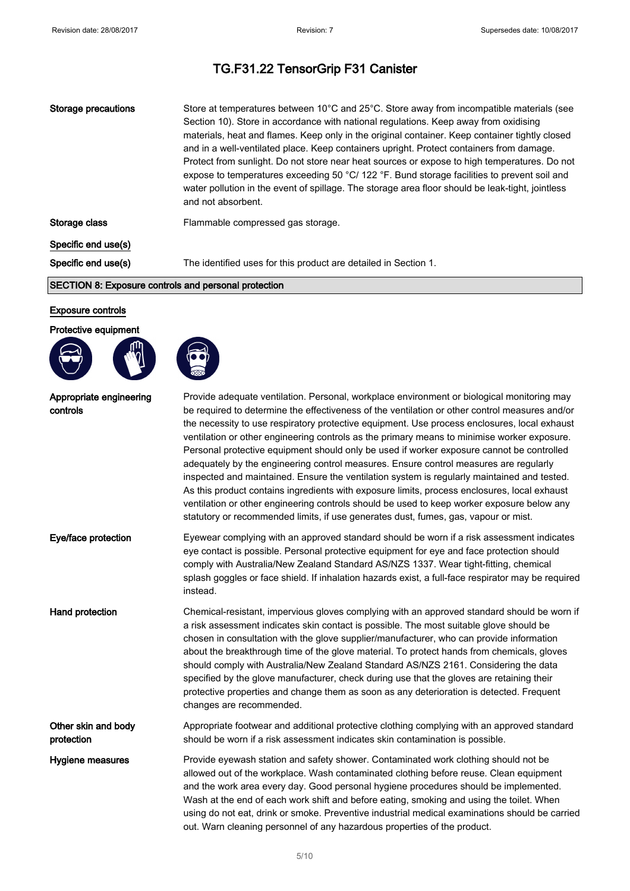| Storage precautions | Store at temperatures between 10°C and 25°C. Store away from incompatible materials (see<br>Section 10). Store in accordance with national regulations. Keep away from oxidising<br>materials, heat and flames. Keep only in the original container. Keep container tightly closed<br>and in a well-ventilated place. Keep containers upright. Protect containers from damage.<br>Protect from sunlight. Do not store near heat sources or expose to high temperatures. Do not<br>expose to temperatures exceeding 50 °C/ 122 °F. Bund storage facilities to prevent soil and<br>water pollution in the event of spillage. The storage area floor should be leak-tight, jointless<br>and not absorbent. |
|---------------------|---------------------------------------------------------------------------------------------------------------------------------------------------------------------------------------------------------------------------------------------------------------------------------------------------------------------------------------------------------------------------------------------------------------------------------------------------------------------------------------------------------------------------------------------------------------------------------------------------------------------------------------------------------------------------------------------------------|
| Storage class       | Flammable compressed gas storage.                                                                                                                                                                                                                                                                                                                                                                                                                                                                                                                                                                                                                                                                       |
| Specific end use(s) |                                                                                                                                                                                                                                                                                                                                                                                                                                                                                                                                                                                                                                                                                                         |
| Specific end use(s) | The identified uses for this product are detailed in Section 1.                                                                                                                                                                                                                                                                                                                                                                                                                                                                                                                                                                                                                                         |

#### SECTION 8: Exposure controls and personal protection

#### Exposure controls

#### Protective equipment





| Appropriate engineering<br>controls | Provide adequate ventilation. Personal, workplace environment or biological monitoring may<br>be required to determine the effectiveness of the ventilation or other control measures and/or<br>the necessity to use respiratory protective equipment. Use process enclosures, local exhaust<br>ventilation or other engineering controls as the primary means to minimise worker exposure.<br>Personal protective equipment should only be used if worker exposure cannot be controlled<br>adequately by the engineering control measures. Ensure control measures are regularly<br>inspected and maintained. Ensure the ventilation system is regularly maintained and tested.<br>As this product contains ingredients with exposure limits, process enclosures, local exhaust<br>ventilation or other engineering controls should be used to keep worker exposure below any<br>statutory or recommended limits, if use generates dust, fumes, gas, vapour or mist. |
|-------------------------------------|-----------------------------------------------------------------------------------------------------------------------------------------------------------------------------------------------------------------------------------------------------------------------------------------------------------------------------------------------------------------------------------------------------------------------------------------------------------------------------------------------------------------------------------------------------------------------------------------------------------------------------------------------------------------------------------------------------------------------------------------------------------------------------------------------------------------------------------------------------------------------------------------------------------------------------------------------------------------------|
| Eye/face protection                 | Eyewear complying with an approved standard should be worn if a risk assessment indicates<br>eye contact is possible. Personal protective equipment for eye and face protection should<br>comply with Australia/New Zealand Standard AS/NZS 1337. Wear tight-fitting, chemical<br>splash goggles or face shield. If inhalation hazards exist, a full-face respirator may be required<br>instead.                                                                                                                                                                                                                                                                                                                                                                                                                                                                                                                                                                      |
| Hand protection                     | Chemical-resistant, impervious gloves complying with an approved standard should be worn if<br>a risk assessment indicates skin contact is possible. The most suitable glove should be<br>chosen in consultation with the glove supplier/manufacturer, who can provide information<br>about the breakthrough time of the glove material. To protect hands from chemicals, gloves<br>should comply with Australia/New Zealand Standard AS/NZS 2161. Considering the data<br>specified by the glove manufacturer, check during use that the gloves are retaining their<br>protective properties and change them as soon as any deterioration is detected. Frequent<br>changes are recommended.                                                                                                                                                                                                                                                                          |
| Other skin and body<br>protection   | Appropriate footwear and additional protective clothing complying with an approved standard<br>should be worn if a risk assessment indicates skin contamination is possible.                                                                                                                                                                                                                                                                                                                                                                                                                                                                                                                                                                                                                                                                                                                                                                                          |
| Hygiene measures                    | Provide eyewash station and safety shower. Contaminated work clothing should not be<br>allowed out of the workplace. Wash contaminated clothing before reuse. Clean equipment<br>and the work area every day. Good personal hygiene procedures should be implemented.<br>Wash at the end of each work shift and before eating, smoking and using the toilet. When<br>using do not eat, drink or smoke. Preventive industrial medical examinations should be carried<br>out. Warn cleaning personnel of any hazardous properties of the product.                                                                                                                                                                                                                                                                                                                                                                                                                       |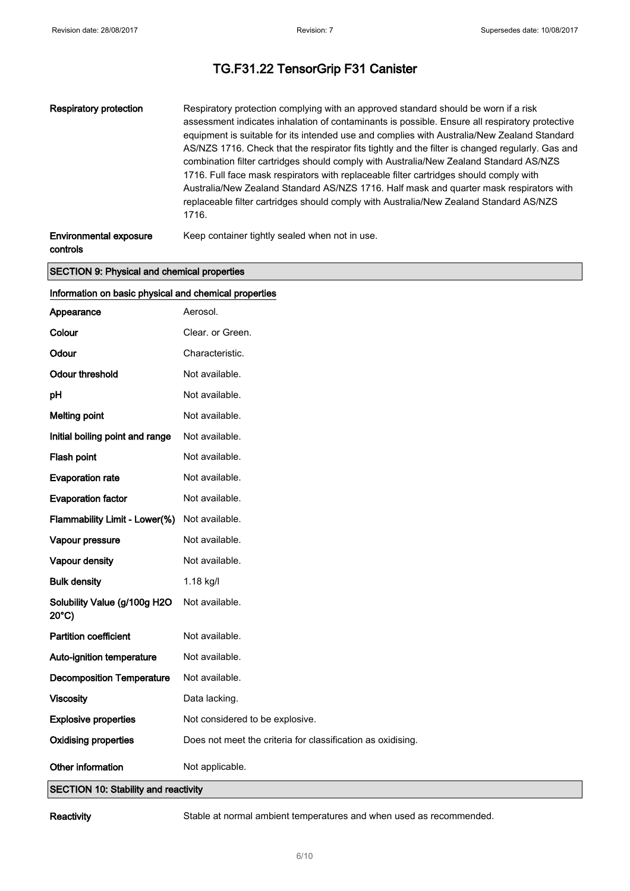| Respiratory protection        | Respiratory protection complying with an approved standard should be worn if a risk<br>assessment indicates inhalation of contaminants is possible. Ensure all respiratory protective<br>equipment is suitable for its intended use and complies with Australia/New Zealand Standard<br>AS/NZS 1716. Check that the respirator fits tightly and the filter is changed regularly. Gas and<br>combination filter cartridges should comply with Australia/New Zealand Standard AS/NZS<br>1716. Full face mask respirators with replaceable filter cartridges should comply with<br>Australia/New Zealand Standard AS/NZS 1716. Half mask and quarter mask respirators with<br>replaceable filter cartridges should comply with Australia/New Zealand Standard AS/NZS<br>1716. |
|-------------------------------|----------------------------------------------------------------------------------------------------------------------------------------------------------------------------------------------------------------------------------------------------------------------------------------------------------------------------------------------------------------------------------------------------------------------------------------------------------------------------------------------------------------------------------------------------------------------------------------------------------------------------------------------------------------------------------------------------------------------------------------------------------------------------|
| <b>Environmental exposure</b> | Keep container tightly sealed when not in use.                                                                                                                                                                                                                                                                                                                                                                                                                                                                                                                                                                                                                                                                                                                             |

controls

#### SECTION 9: Physical and chemical properties

| Information on basic physical and chemical properties            |                                                             |  |
|------------------------------------------------------------------|-------------------------------------------------------------|--|
| Appearance                                                       | Aerosol.                                                    |  |
| Colour                                                           | Clear. or Green.                                            |  |
| Odour                                                            | Characteristic.                                             |  |
| <b>Odour threshold</b>                                           | Not available.                                              |  |
| pH                                                               | Not available.                                              |  |
| <b>Melting point</b>                                             | Not available.                                              |  |
| Initial boiling point and range                                  | Not available.                                              |  |
| Flash point                                                      | Not available.                                              |  |
| <b>Evaporation rate</b>                                          | Not available.                                              |  |
| <b>Evaporation factor</b>                                        | Not available.                                              |  |
| Flammability Limit - Lower(%)                                    | Not available.                                              |  |
| Vapour pressure                                                  | Not available.                                              |  |
| Vapour density                                                   | Not available.                                              |  |
| <b>Bulk density</b>                                              | 1.18 kg/l                                                   |  |
| Solubility Value (g/100g H2O<br>$20^{\circ}$ C)                  | Not available.                                              |  |
| <b>Partition coefficient</b>                                     | Not available.                                              |  |
| Auto-ignition temperature                                        | Not available.                                              |  |
| <b>Decomposition Temperature</b>                                 | Not available.                                              |  |
| <b>Viscosity</b>                                                 | Data lacking.                                               |  |
| <b>Explosive properties</b>                                      | Not considered to be explosive.                             |  |
| <b>Oxidising properties</b>                                      | Does not meet the criteria for classification as oxidising. |  |
| Other information<br><b>SECTION 10: Stability and reactivity</b> | Not applicable.                                             |  |

Reactivity Stable at normal ambient temperatures and when used as recommended.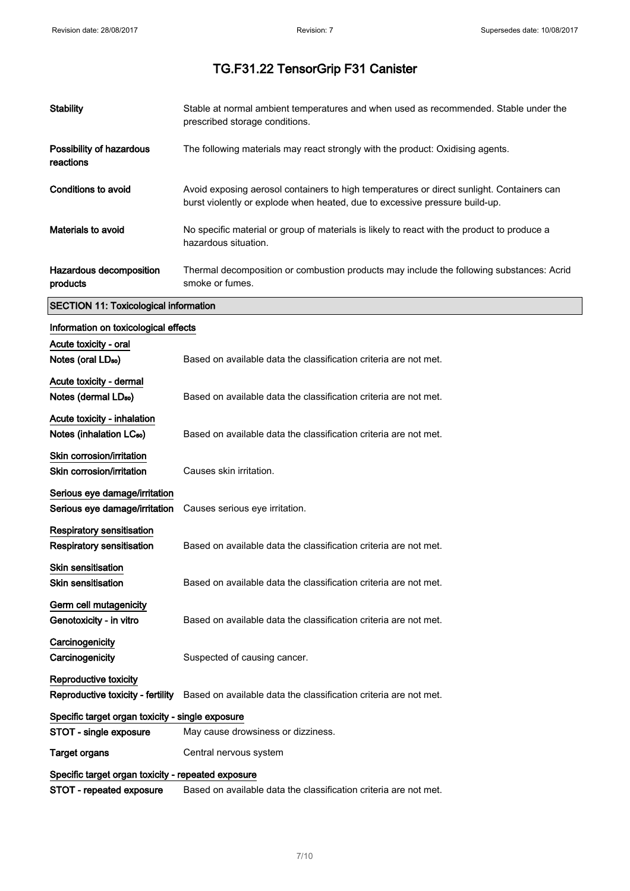$\hat{\mathcal{A}}$ 

# TG.F31.22 TensorGrip F31 Canister

| <b>Stability</b>                                                    | Stable at normal ambient temperatures and when used as recommended. Stable under the<br>prescribed storage conditions.                                                   |
|---------------------------------------------------------------------|--------------------------------------------------------------------------------------------------------------------------------------------------------------------------|
| Possibility of hazardous<br>reactions                               | The following materials may react strongly with the product: Oxidising agents.                                                                                           |
| <b>Conditions to avoid</b>                                          | Avoid exposing aerosol containers to high temperatures or direct sunlight. Containers can<br>burst violently or explode when heated, due to excessive pressure build-up. |
| <b>Materials to avoid</b>                                           | No specific material or group of materials is likely to react with the product to produce a<br>hazardous situation.                                                      |
| Hazardous decomposition<br>products                                 | Thermal decomposition or combustion products may include the following substances: Acrid<br>smoke or fumes.                                                              |
| <b>SECTION 11: Toxicological information</b>                        |                                                                                                                                                                          |
| Information on toxicological effects                                |                                                                                                                                                                          |
| Acute toxicity - oral                                               |                                                                                                                                                                          |
| Notes (oral LD <sub>50</sub> )                                      | Based on available data the classification criteria are not met.                                                                                                         |
| Acute toxicity - dermal<br>Notes (dermal LD <sub>50</sub> )         | Based on available data the classification criteria are not met.                                                                                                         |
| Acute toxicity - inhalation<br>Notes (inhalation LC <sub>50</sub> ) | Based on available data the classification criteria are not met.                                                                                                         |
| Skin corrosion/irritation<br>Skin corrosion/irritation              | Causes skin irritation.                                                                                                                                                  |
| Serious eye damage/irritation<br>Serious eye damage/irritation      | Causes serious eye irritation.                                                                                                                                           |
| Respiratory sensitisation<br>Respiratory sensitisation              | Based on available data the classification criteria are not met.                                                                                                         |
| <b>Skin sensitisation</b><br><b>Skin sensitisation</b>              | Based on available data the classification criteria are not met.                                                                                                         |
| Germ cell mutagenicity<br>Genotoxicity - in vitro                   | Based on available data the classification criteria are not met.                                                                                                         |
| Carcinogenicity<br>Carcinogenicity                                  | Suspected of causing cancer.                                                                                                                                             |
| Reproductive toxicity<br>Reproductive toxicity - fertility          | Based on available data the classification criteria are not met.                                                                                                         |
| Specific target organ toxicity - single exposure                    |                                                                                                                                                                          |
| STOT - single exposure                                              | May cause drowsiness or dizziness.                                                                                                                                       |
| <b>Target organs</b>                                                | Central nervous system                                                                                                                                                   |
| Specific target organ toxicity - repeated exposure                  |                                                                                                                                                                          |
| STOT - repeated exposure                                            | Based on available data the classification criteria are not met.                                                                                                         |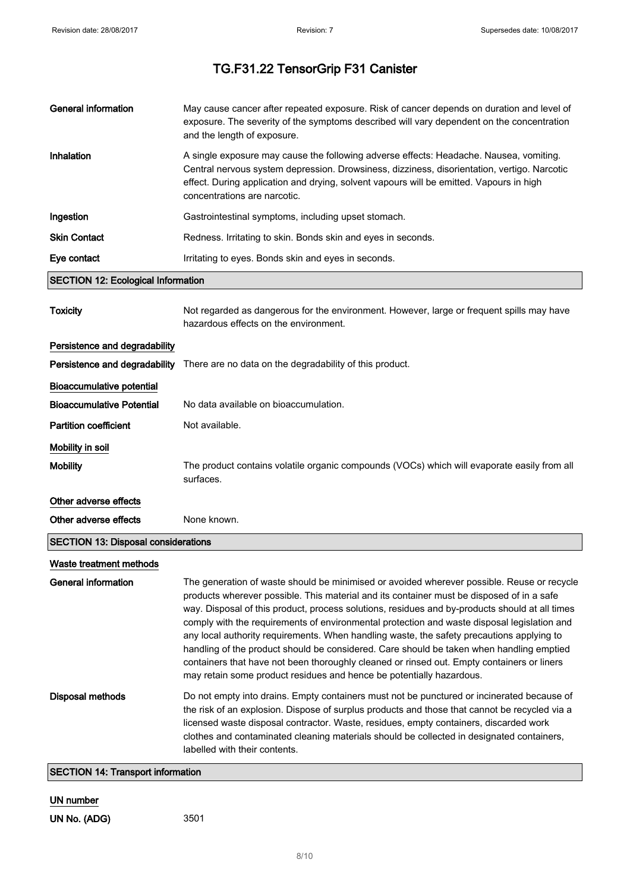| <b>General information</b>                 | May cause cancer after repeated exposure. Risk of cancer depends on duration and level of<br>exposure. The severity of the symptoms described will vary dependent on the concentration<br>and the length of exposure.                                                                                                                                                                                                                                                                                                                                                                                                                                                                                                                                   |
|--------------------------------------------|---------------------------------------------------------------------------------------------------------------------------------------------------------------------------------------------------------------------------------------------------------------------------------------------------------------------------------------------------------------------------------------------------------------------------------------------------------------------------------------------------------------------------------------------------------------------------------------------------------------------------------------------------------------------------------------------------------------------------------------------------------|
| Inhalation                                 | A single exposure may cause the following adverse effects: Headache. Nausea, vomiting.<br>Central nervous system depression. Drowsiness, dizziness, disorientation, vertigo. Narcotic<br>effect. During application and drying, solvent vapours will be emitted. Vapours in high<br>concentrations are narcotic.                                                                                                                                                                                                                                                                                                                                                                                                                                        |
| Ingestion                                  | Gastrointestinal symptoms, including upset stomach.                                                                                                                                                                                                                                                                                                                                                                                                                                                                                                                                                                                                                                                                                                     |
| <b>Skin Contact</b>                        | Redness. Irritating to skin. Bonds skin and eyes in seconds.                                                                                                                                                                                                                                                                                                                                                                                                                                                                                                                                                                                                                                                                                            |
| Eye contact                                | Irritating to eyes. Bonds skin and eyes in seconds.                                                                                                                                                                                                                                                                                                                                                                                                                                                                                                                                                                                                                                                                                                     |
| <b>SECTION 12: Ecological Information</b>  |                                                                                                                                                                                                                                                                                                                                                                                                                                                                                                                                                                                                                                                                                                                                                         |
| <b>Toxicity</b>                            | Not regarded as dangerous for the environment. However, large or frequent spills may have<br>hazardous effects on the environment.                                                                                                                                                                                                                                                                                                                                                                                                                                                                                                                                                                                                                      |
| Persistence and degradability              |                                                                                                                                                                                                                                                                                                                                                                                                                                                                                                                                                                                                                                                                                                                                                         |
| Persistence and degradability              | There are no data on the degradability of this product.                                                                                                                                                                                                                                                                                                                                                                                                                                                                                                                                                                                                                                                                                                 |
| <b>Bioaccumulative potential</b>           |                                                                                                                                                                                                                                                                                                                                                                                                                                                                                                                                                                                                                                                                                                                                                         |
| <b>Bioaccumulative Potential</b>           | No data available on bioaccumulation.                                                                                                                                                                                                                                                                                                                                                                                                                                                                                                                                                                                                                                                                                                                   |
| <b>Partition coefficient</b>               | Not available.                                                                                                                                                                                                                                                                                                                                                                                                                                                                                                                                                                                                                                                                                                                                          |
| Mobility in soil                           |                                                                                                                                                                                                                                                                                                                                                                                                                                                                                                                                                                                                                                                                                                                                                         |
| <b>Mobility</b>                            | The product contains volatile organic compounds (VOCs) which will evaporate easily from all<br>surfaces.                                                                                                                                                                                                                                                                                                                                                                                                                                                                                                                                                                                                                                                |
| Other adverse effects                      |                                                                                                                                                                                                                                                                                                                                                                                                                                                                                                                                                                                                                                                                                                                                                         |
| Other adverse effects                      | None known.                                                                                                                                                                                                                                                                                                                                                                                                                                                                                                                                                                                                                                                                                                                                             |
| <b>SECTION 13: Disposal considerations</b> |                                                                                                                                                                                                                                                                                                                                                                                                                                                                                                                                                                                                                                                                                                                                                         |
| Waste treatment methods                    |                                                                                                                                                                                                                                                                                                                                                                                                                                                                                                                                                                                                                                                                                                                                                         |
| <b>General information</b>                 | The generation of waste should be minimised or avoided wherever possible. Reuse or recycle<br>products wherever possible. This material and its container must be disposed of in a safe<br>way. Disposal of this product, process solutions, residues and by-products should at all times<br>comply with the requirements of environmental protection and waste disposal legislation and<br>any local authority requirements. When handling waste, the safety precautions applying to<br>handling of the product should be considered. Care should be taken when handling emptied<br>containers that have not been thoroughly cleaned or rinsed out. Empty containers or liners<br>may retain some product residues and hence be potentially hazardous. |
| <b>Disposal methods</b>                    | Do not empty into drains. Empty containers must not be punctured or incinerated because of<br>the risk of an explosion. Dispose of surplus products and those that cannot be recycled via a<br>licensed waste disposal contractor. Waste, residues, empty containers, discarded work<br>clothes and contaminated cleaning materials should be collected in designated containers,<br>labelled with their contents.                                                                                                                                                                                                                                                                                                                                      |
| <b>SECTION 14: Transport information</b>   |                                                                                                                                                                                                                                                                                                                                                                                                                                                                                                                                                                                                                                                                                                                                                         |

### UN number

UN No. (ADG) 3501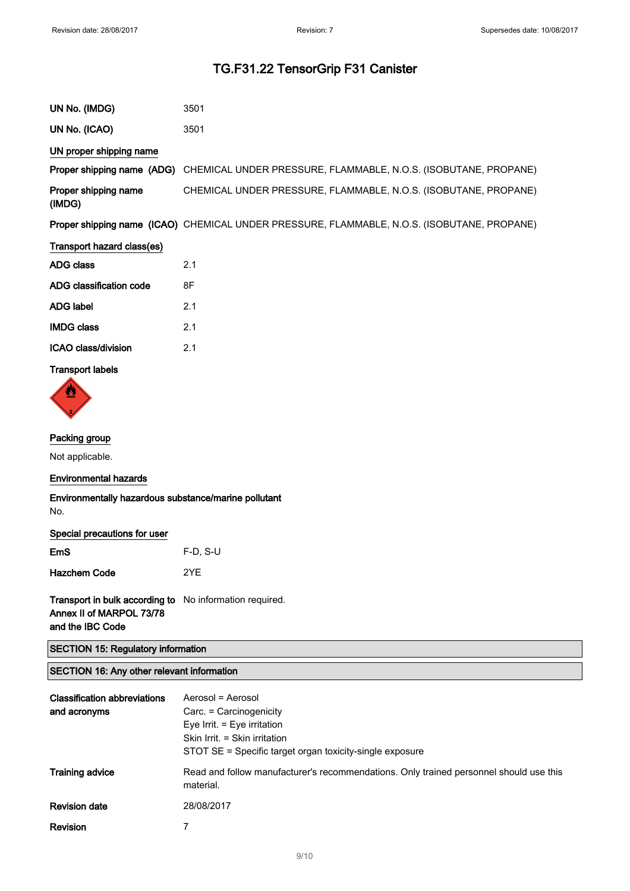| UN No. (IMDG)                  | 3501                                                                                        |
|--------------------------------|---------------------------------------------------------------------------------------------|
| UN No. (ICAO)                  | 3501                                                                                        |
| UN proper shipping name        |                                                                                             |
|                                | Proper shipping name (ADG) CHEMICAL UNDER PRESSURE, FLAMMABLE, N.O.S. (ISOBUTANE, PROPANE)  |
| Proper shipping name<br>(IMDG) | CHEMICAL UNDER PRESSURE, FLAMMABLE, N.O.S. (ISOBUTANE, PROPANE)                             |
|                                | Proper shipping name (ICAO) CHEMICAL UNDER PRESSURE, FLAMMABLE, N.O.S. (ISOBUTANE, PROPANE) |
| Transport hazard class(es)     |                                                                                             |
| <b>ADG class</b>               | 2.1                                                                                         |
| ADG classification code        | 8F                                                                                          |
| <b>ADG label</b>               | 2.1                                                                                         |
| <b>IMDG class</b>              | 2.1                                                                                         |
| ICAO class/division            | 2.1                                                                                         |
|                                |                                                                                             |

### Transport labels



#### Packing group

Not applicable.

#### Environmental hazards

#### Environmentally hazardous substance/marine pollutant No.

|  | Special precautions for user |  |  |
|--|------------------------------|--|--|
|--|------------------------------|--|--|

| <b>EmS</b>          | $F-D. S-U$ |
|---------------------|------------|
| <b>Hazchem Code</b> | 2YF        |

Transport in bulk according to No information required. Annex II of MARPOL 73/78 and the IBC Code

SECTION 15: Regulatory information

#### SECTION 16: Any other relevant information

| <b>Classification abbreviations</b><br>and acronyms | Aerosol = Aerosol<br>Carc. = Carcinogenicity<br>Eye Irrit. $=$ Eye irritation<br>Skin Irrit. = Skin irritation<br>STOT SE = Specific target organ toxicity-single exposure |
|-----------------------------------------------------|----------------------------------------------------------------------------------------------------------------------------------------------------------------------------|
| <b>Training advice</b>                              | Read and follow manufacturer's recommendations. Only trained personnel should use this<br>material.                                                                        |
| <b>Revision date</b>                                | 28/08/2017                                                                                                                                                                 |
| Revision                                            |                                                                                                                                                                            |